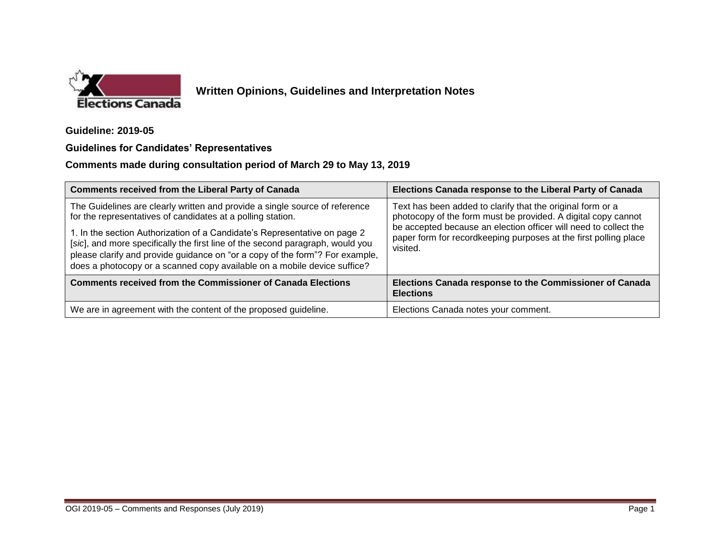

## **Written Opinions, Guidelines and Interpretation Notes**

**Guideline: 2019-05**

## **Guidelines for Candidates' Representatives**

## **Comments made during consultation period of March 29 to May 13, 2019**

| <b>Comments received from the Liberal Party of Canada</b>                                                                                                                                                                                                                                                               | Elections Canada response to the Liberal Party of Canada                                                                                                                                                                                                                        |
|-------------------------------------------------------------------------------------------------------------------------------------------------------------------------------------------------------------------------------------------------------------------------------------------------------------------------|---------------------------------------------------------------------------------------------------------------------------------------------------------------------------------------------------------------------------------------------------------------------------------|
| The Guidelines are clearly written and provide a single source of reference<br>for the representatives of candidates at a polling station.                                                                                                                                                                              | Text has been added to clarify that the original form or a<br>photocopy of the form must be provided. A digital copy cannot<br>be accepted because an election officer will need to collect the<br>paper form for recordkeeping purposes at the first polling place<br>visited. |
| 1. In the section Authorization of a Candidate's Representative on page 2<br>[sic], and more specifically the first line of the second paragraph, would you<br>please clarify and provide guidance on "or a copy of the form"? For example,<br>does a photocopy or a scanned copy available on a mobile device suffice? |                                                                                                                                                                                                                                                                                 |
| <b>Comments received from the Commissioner of Canada Elections</b>                                                                                                                                                                                                                                                      | Elections Canada response to the Commissioner of Canada<br><b>Elections</b>                                                                                                                                                                                                     |
| We are in agreement with the content of the proposed guideline.                                                                                                                                                                                                                                                         | Elections Canada notes your comment.                                                                                                                                                                                                                                            |